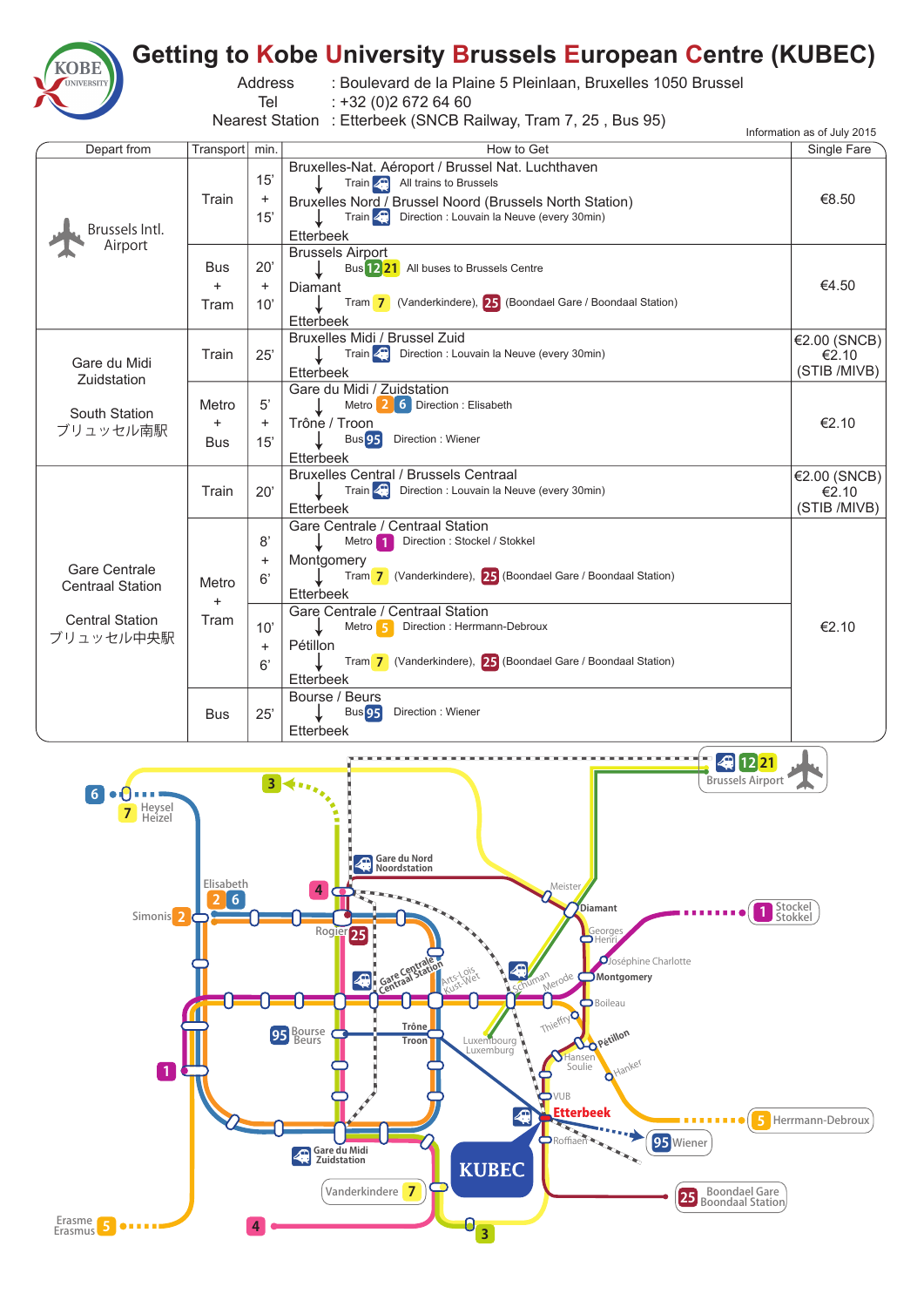

## **Getting to Kobe University Brussels European Centre (KUBEC)**

Address : Boulevard de la Plaine 5 Pleinlaan, Bruxelles 1050 Brussel

: +32 (0)2 672 64 60

Tel

Nearest Station : Etterbeek (SNCB Railway, Tram 7, 25 , Bus 95)

|                                                                                        |                                  |                                                 | $1$ and $0$ the figure $1$ . Externe can perform the state $1$ , $20$ , $1000$ $00$                                                                                                                                                                                                                                                                                       | Information as of July 2015           |
|----------------------------------------------------------------------------------------|----------------------------------|-------------------------------------------------|---------------------------------------------------------------------------------------------------------------------------------------------------------------------------------------------------------------------------------------------------------------------------------------------------------------------------------------------------------------------------|---------------------------------------|
| Depart from                                                                            | Transport min.                   |                                                 | How to Get                                                                                                                                                                                                                                                                                                                                                                | Single Fare                           |
| Brussels Intl.<br>Airport                                                              | Train                            | 15'<br>$\ddot{}$<br>15'                         | Bruxelles-Nat. Aéroport / Brussel Nat. Luchthaven<br>Train $\boxed{4}$ All trains to Brussels<br>Bruxelles Nord / Brussel Noord (Brussels North Station)<br>Train : Louvain la Neuve (every 30min)<br>Etterbeek                                                                                                                                                           | €8.50                                 |
|                                                                                        | Bus<br>$+$<br>Tram               | $20^{\circ}$<br>$\ddot{}$<br>10'                | <b>Brussels Airport</b><br>Bus 1221 All buses to Brussels Centre<br>Diamant<br>Tram 7 (Vanderkindere), 25 (Boondael Gare / Boondaal Station)<br>Etterbeek                                                                                                                                                                                                                 | €4.50                                 |
| Gare du Midi<br>Zuidstation                                                            | Train                            | 25'                                             | Bruxelles Midi / Brussel Zuid<br>Train 2. Direction : Louvain la Neuve (every 30min)<br>Etterbeek                                                                                                                                                                                                                                                                         | €2.00 (SNCB)<br>€2.10<br>(STIB /MIVB) |
| South Station<br>ブリュッセル南駅                                                              | Metro<br>$\ddot{}$<br><b>Bus</b> | 5'<br>$\ddot{}$<br>15'                          | Gare du Midi / Zuidstation<br>Metro 2 6 Direction : Elisabeth<br>Trône / Troon<br>Direction: Wiener<br><b>Bus</b> 95<br>Etterbeek                                                                                                                                                                                                                                         | €2.10                                 |
|                                                                                        | Train                            | 20'                                             | Bruxelles Central / Brussels Centraal<br>Train < Direction : Louvain la Neuve (every 30min)<br>Etterbeek                                                                                                                                                                                                                                                                  | €2.00 (SNCB)<br>€2.10<br>(STIB /MIVB) |
| <b>Gare Centrale</b><br><b>Centraal Station</b><br><b>Central Station</b><br>ブリュッセル中央駅 | Metro<br>$\ddot{}$<br>Tram       | 8'<br>$\ddot{}$<br>6'<br>10'<br>$\ddot{}$<br>6' | Gare Centrale / Centraal Station<br>Metro 1<br>Direction: Stockel / Stokkel<br>Montgomery<br>Tram 7 (Vanderkindere), 25 (Boondael Gare / Boondaal Station)<br>Etterbeek<br>Gare Centrale / Centraal Station<br>Metro 5<br>Direction : Herrmann-Debroux<br>Pétillon<br>Tram 7 (Vanderkindere), 25 (Boondael Gare / Boondaal Station)<br><b>Etterbeek</b><br>Bourse / Beurs | €2.10                                 |
|                                                                                        | <b>Bus</b>                       | 25'                                             | <b>Bus</b> 95<br>Direction: Wiener<br>Etterbeek                                                                                                                                                                                                                                                                                                                           |                                       |
| 4 12 21                                                                                |                                  |                                                 |                                                                                                                                                                                                                                                                                                                                                                           |                                       |